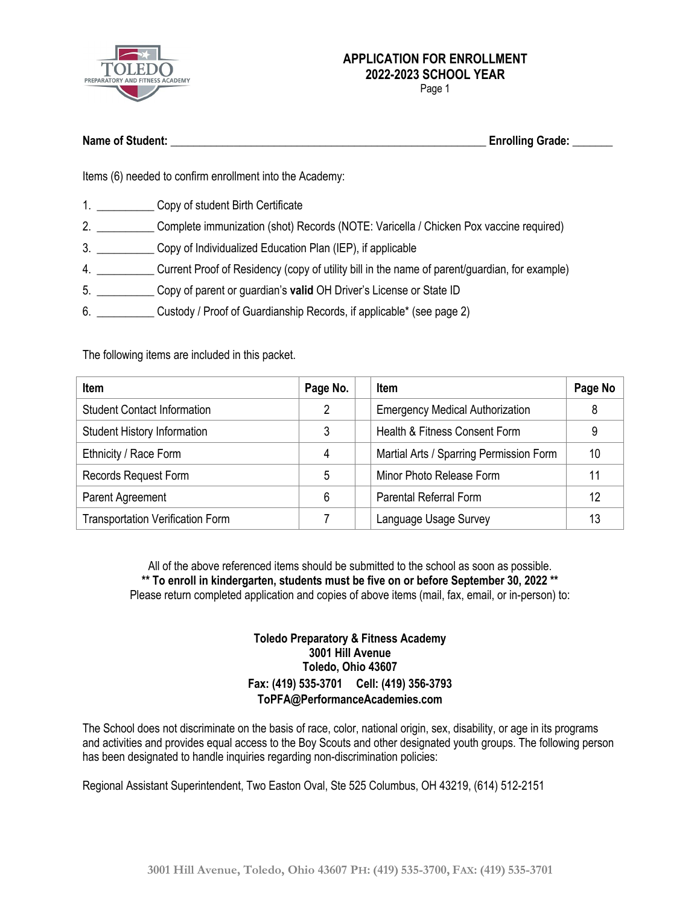

Page 1

| <b>Name of Student:</b> | <b>Enrolling Grade:</b> |  |
|-------------------------|-------------------------|--|
|                         |                         |  |

Items (6) needed to confirm enrollment into the Academy:

- 1. Copy of student Birth Certificate
- 2. \_\_\_\_\_\_\_\_\_\_ Complete immunization (shot) Records (NOTE: Varicella / Chicken Pox vaccine required)
- 3. \_\_\_\_\_\_\_\_\_\_ Copy of Individualized Education Plan (IEP), if applicable
- 4. \_\_\_\_\_\_\_\_\_\_ Current Proof of Residency (copy of utility bill in the name of parent/guardian, for example)
- 5. \_\_\_\_\_\_\_\_\_\_ Copy of parent or guardian's **valid** OH Driver's License or State ID
- 6. \_\_\_\_\_\_\_\_\_\_ Custody / Proof of Guardianship Records, if applicable\* (see page 2)

The following items are included in this packet.

| <b>Item</b>                             | Page No. | <b>Item</b>                             | Page No |
|-----------------------------------------|----------|-----------------------------------------|---------|
| <b>Student Contact Information</b>      | 2        | <b>Emergency Medical Authorization</b>  | 8       |
| <b>Student History Information</b>      | 3        | Health & Fitness Consent Form           | 9       |
| Ethnicity / Race Form                   | 4        | Martial Arts / Sparring Permission Form | 10      |
| Records Request Form                    | 5        | Minor Photo Release Form                |         |
| Parent Agreement                        | 6        | <b>Parental Referral Form</b>           | 12      |
| <b>Transportation Verification Form</b> |          | Language Usage Survey                   | 13      |

All of the above referenced items should be submitted to the school as soon as possible. **\*\* To enroll in kindergarten, students must be five on or before September 30, 2022 \*\*** Please return completed application and copies of above items (mail, fax, email, or in-person) to:

### **Toledo Preparatory & Fitness Academy 3001 Hill Avenue Toledo, Ohio 43607 Fax: (419) 535-3701 Cell: (419) 356-3793 ToPFA@PerformanceAcademies.com**

The School does not discriminate on the basis of race, color, national origin, sex, disability, or age in its programs and activities and provides equal access to the Boy Scouts and other designated youth groups. The following person has been designated to handle inquiries regarding non-discrimination policies:

Regional Assistant Superintendent, Two Easton Oval, Ste 525 Columbus, OH 43219, (614) 512-2151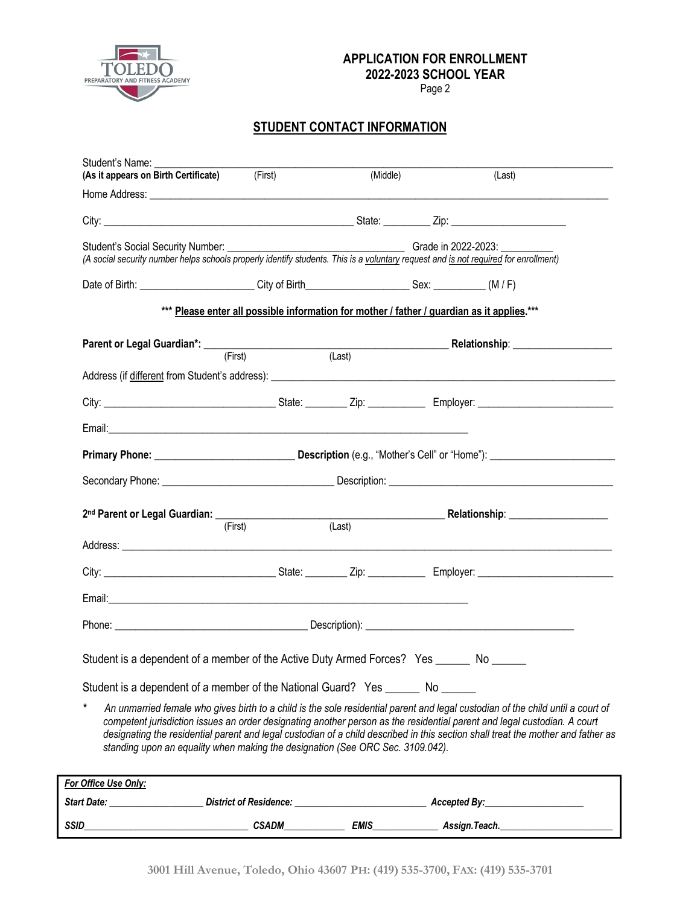

Page 2

## **STUDENT CONTACT INFORMATION**

| Student's Name:<br>(As it appears on Birth Certificate) (First)                                                                                                          |                                                                                            | (Middle) | (Last)                                                                                                                                                                                                                                                                                                                                                                                          |
|--------------------------------------------------------------------------------------------------------------------------------------------------------------------------|--------------------------------------------------------------------------------------------|----------|-------------------------------------------------------------------------------------------------------------------------------------------------------------------------------------------------------------------------------------------------------------------------------------------------------------------------------------------------------------------------------------------------|
|                                                                                                                                                                          |                                                                                            |          |                                                                                                                                                                                                                                                                                                                                                                                                 |
|                                                                                                                                                                          |                                                                                            |          |                                                                                                                                                                                                                                                                                                                                                                                                 |
| Student's Social Security Number:<br>(A social security number helps schools properly identify students. This is a voluntary request and is not required for enrollment) |                                                                                            |          | Grade in 2022-2023:                                                                                                                                                                                                                                                                                                                                                                             |
|                                                                                                                                                                          |                                                                                            |          |                                                                                                                                                                                                                                                                                                                                                                                                 |
|                                                                                                                                                                          | *** Please enter all possible information for mother / father / guardian as it applies.*** |          |                                                                                                                                                                                                                                                                                                                                                                                                 |
|                                                                                                                                                                          |                                                                                            |          | Parent or Legal Guardian*: (First) (Example 2014) (Last) Relationship: 2015 2016 2017 (Example 2016)                                                                                                                                                                                                                                                                                            |
|                                                                                                                                                                          |                                                                                            |          |                                                                                                                                                                                                                                                                                                                                                                                                 |
|                                                                                                                                                                          |                                                                                            |          |                                                                                                                                                                                                                                                                                                                                                                                                 |
|                                                                                                                                                                          |                                                                                            |          |                                                                                                                                                                                                                                                                                                                                                                                                 |
|                                                                                                                                                                          |                                                                                            |          |                                                                                                                                                                                                                                                                                                                                                                                                 |
|                                                                                                                                                                          |                                                                                            |          |                                                                                                                                                                                                                                                                                                                                                                                                 |
|                                                                                                                                                                          |                                                                                            |          | 2 <sup>nd</sup> Parent or Legal Guardian: (First) (Last) (Last) Relationship: 2014 Relationship:                                                                                                                                                                                                                                                                                                |
|                                                                                                                                                                          | (First)                                                                                    |          |                                                                                                                                                                                                                                                                                                                                                                                                 |
|                                                                                                                                                                          |                                                                                            |          |                                                                                                                                                                                                                                                                                                                                                                                                 |
|                                                                                                                                                                          |                                                                                            |          |                                                                                                                                                                                                                                                                                                                                                                                                 |
|                                                                                                                                                                          |                                                                                            |          |                                                                                                                                                                                                                                                                                                                                                                                                 |
|                                                                                                                                                                          |                                                                                            |          |                                                                                                                                                                                                                                                                                                                                                                                                 |
| Student is a dependent of a member of the Active Duty Armed Forces? Yes _______ No ______                                                                                |                                                                                            |          |                                                                                                                                                                                                                                                                                                                                                                                                 |
| Student is a dependent of a member of the National Guard? Yes _______ No ______                                                                                          |                                                                                            |          |                                                                                                                                                                                                                                                                                                                                                                                                 |
| standing upon an equality when making the designation (See ORC Sec. 3109.042).                                                                                           |                                                                                            |          | An unmarried female who gives birth to a child is the sole residential parent and legal custodian of the child until a court of<br>competent jurisdiction issues an order designating another person as the residential parent and legal custodian. A court<br>designating the residential parent and legal custodian of a child described in this section shall treat the mother and father as |
| For Office Use Only:                                                                                                                                                     |                                                                                            |          |                                                                                                                                                                                                                                                                                                                                                                                                 |
| Start Date: _                                                                                                                                                            | <b>District of Residence:</b>                                                              |          | Accepted By:                                                                                                                                                                                                                                                                                                                                                                                    |

*SSID\_\_\_\_\_\_\_\_\_\_\_\_\_\_\_\_\_\_\_\_\_\_\_\_\_\_\_\_\_\_\_\_\_\_\_ CSADM\_\_\_\_\_\_\_\_\_\_\_\_\_ EMIS\_\_\_\_\_\_\_\_\_\_\_\_\_\_ Assign.Teach.\_\_\_\_\_\_\_\_\_\_\_\_\_\_\_\_\_\_\_\_\_\_\_\_*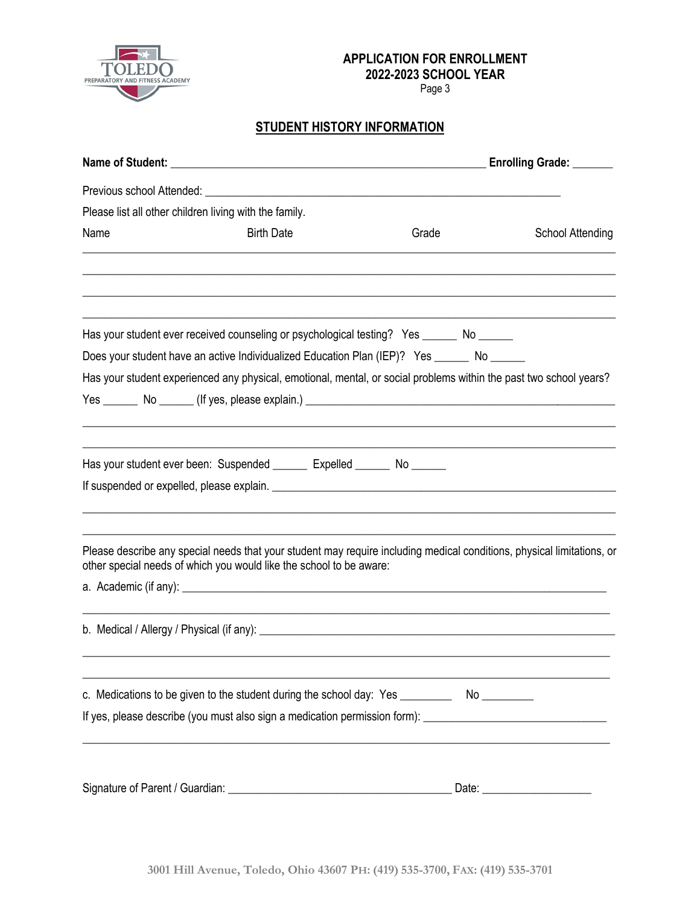

Page 3

## **STUDENT HISTORY INFORMATION**

|                                                        |                                                                                                                                                                                               |       | <b>Enrolling Grade:</b>        |
|--------------------------------------------------------|-----------------------------------------------------------------------------------------------------------------------------------------------------------------------------------------------|-------|--------------------------------|
|                                                        |                                                                                                                                                                                               |       |                                |
| Please list all other children living with the family. |                                                                                                                                                                                               |       |                                |
| Name                                                   | <b>Birth Date</b>                                                                                                                                                                             | Grade | <b>School Attending</b>        |
|                                                        |                                                                                                                                                                                               |       |                                |
|                                                        | Has your student ever received counseling or psychological testing? Yes _______ No ______                                                                                                     |       |                                |
|                                                        | Does your student have an active Individualized Education Plan (IEP)? Yes ______ No _____                                                                                                     |       |                                |
|                                                        | Has your student experienced any physical, emotional, mental, or social problems within the past two school years?                                                                            |       |                                |
|                                                        |                                                                                                                                                                                               |       |                                |
|                                                        |                                                                                                                                                                                               |       |                                |
|                                                        | Has your student ever been: Suspended _______ Expelled ______ No ______                                                                                                                       |       |                                |
|                                                        |                                                                                                                                                                                               |       |                                |
|                                                        |                                                                                                                                                                                               |       |                                |
|                                                        | Please describe any special needs that your student may require including medical conditions, physical limitations, or<br>other special needs of which you would like the school to be aware: |       |                                |
|                                                        |                                                                                                                                                                                               |       |                                |
|                                                        |                                                                                                                                                                                               |       |                                |
|                                                        | c. Medications to be given to the student during the school day: Yes ___________ No _________                                                                                                 |       |                                |
|                                                        | If yes, please describe (you must also sign a medication permission form): ___________________________________                                                                                |       |                                |
|                                                        |                                                                                                                                                                                               |       |                                |
|                                                        |                                                                                                                                                                                               |       | Date: ________________________ |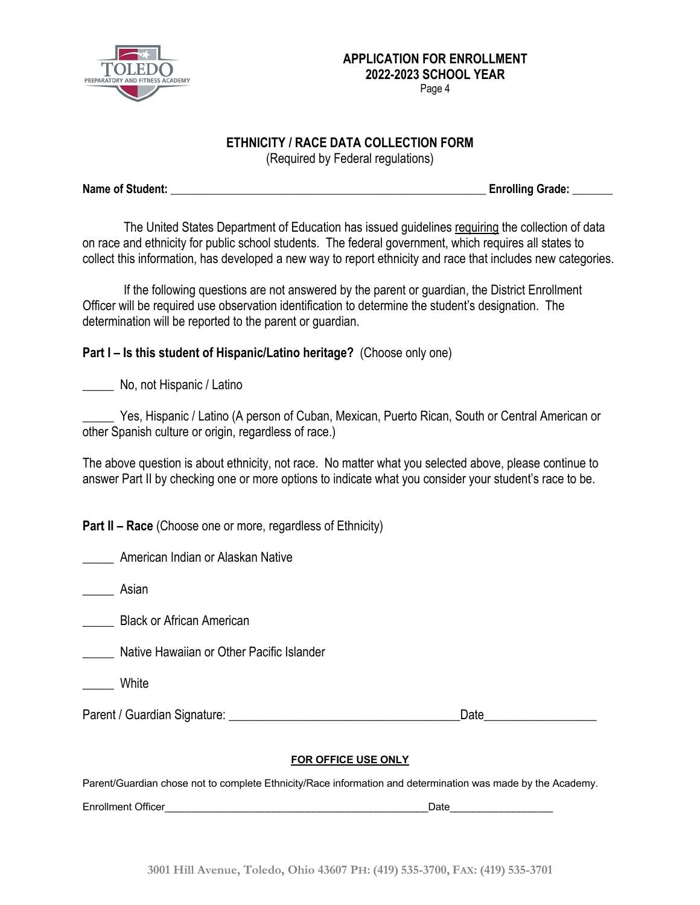

## **ETHNICITY / RACE DATA COLLECTION FORM**

(Required by Federal regulations)

**Name of Student: \_\_\_\_\_\_\_\_\_\_\_\_\_\_\_\_\_\_\_\_\_\_\_\_\_\_\_\_\_\_\_\_\_\_\_\_\_\_\_\_\_\_\_\_\_\_\_\_\_\_\_\_\_\_\_ Enrolling Grade: \_\_\_\_\_\_\_**

The United States Department of Education has issued guidelines requiring the collection of data on race and ethnicity for public school students. The federal government, which requires all states to collect this information, has developed a new way to report ethnicity and race that includes new categories.

If the following questions are not answered by the parent or guardian, the District Enrollment Officer will be required use observation identification to determine the student's designation. The determination will be reported to the parent or guardian.

## **Part I – Is this student of Hispanic/Latino heritage?** (Choose only one)

\_\_\_\_\_ No, not Hispanic / Latino

Yes, Hispanic / Latino (A person of Cuban, Mexican, Puerto Rican, South or Central American or other Spanish culture or origin, regardless of race.)

The above question is about ethnicity, not race. No matter what you selected above, please continue to answer Part II by checking one or more options to indicate what you consider your student's race to be.

**Part II – Race** (Choose one or more, regardless of Ethnicity)

\_\_\_\_\_ American Indian or Alaskan Native

\_\_\_\_\_ Asian

\_\_\_\_\_ Black or African American

\_\_\_\_\_ Native Hawaiian or Other Pacific Islander

**White** 

Parent / Guardian Signature: \_\_\_\_\_\_\_\_\_\_\_\_\_\_\_\_\_\_\_\_\_\_\_\_\_\_\_\_\_\_\_\_\_\_\_\_\_Date\_\_\_\_\_\_\_\_\_\_\_\_\_\_\_\_\_\_

#### **FOR OFFICE USE ONLY**

Parent/Guardian chose not to complete Ethnicity/Race information and determination was made by the Academy.

Enrollment Officer **Enrollment Officer**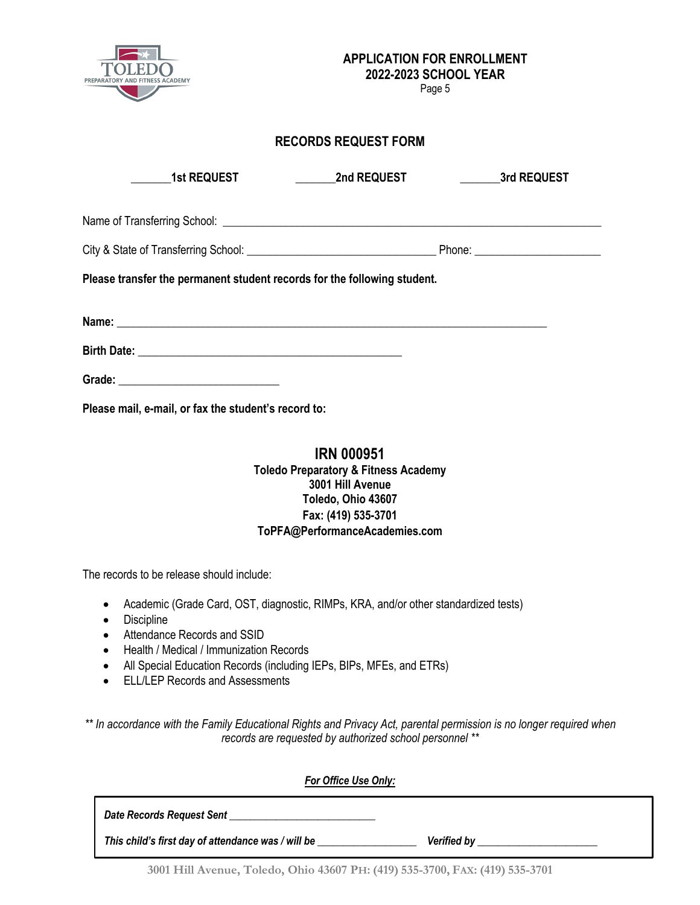

Page 5

### **RECORDS REQUEST FORM**

| <b>1st REQUEST</b>                                                       | <b>Example 2nd REQUEST</b> | <b>Example 3rd REQUEST</b> |
|--------------------------------------------------------------------------|----------------------------|----------------------------|
|                                                                          |                            |                            |
|                                                                          |                            |                            |
| Please transfer the permanent student records for the following student. |                            |                            |
|                                                                          |                            |                            |
|                                                                          |                            |                            |
|                                                                          |                            |                            |
| Please mail, e-mail, or fax the student's record to:                     |                            |                            |

## **IRN 000951 Toledo Preparatory & Fitness Academy 3001 Hill Avenue Toledo, Ohio 43607 Fax: (419) 535-3701 ToPFA@PerformanceAcademies.com**

The records to be release should include:

- Academic (Grade Card, OST, diagnostic, RIMPs, KRA, and/or other standardized tests)
- Discipline
- Attendance Records and SSID
- Health / Medical / Immunization Records
- All Special Education Records (including IEPs, BIPs, MFEs, and ETRs)
- ELL/LEP Records and Assessments

*\*\* In accordance with the Family Educational Rights and Privacy Act, parental permission is no longer required when records are requested by authorized school personnel \*\**

| For Office Use Only:                               |             |
|----------------------------------------------------|-------------|
| Date Records Request Sent                          |             |
| This child's first day of attendance was / will be | Verified by |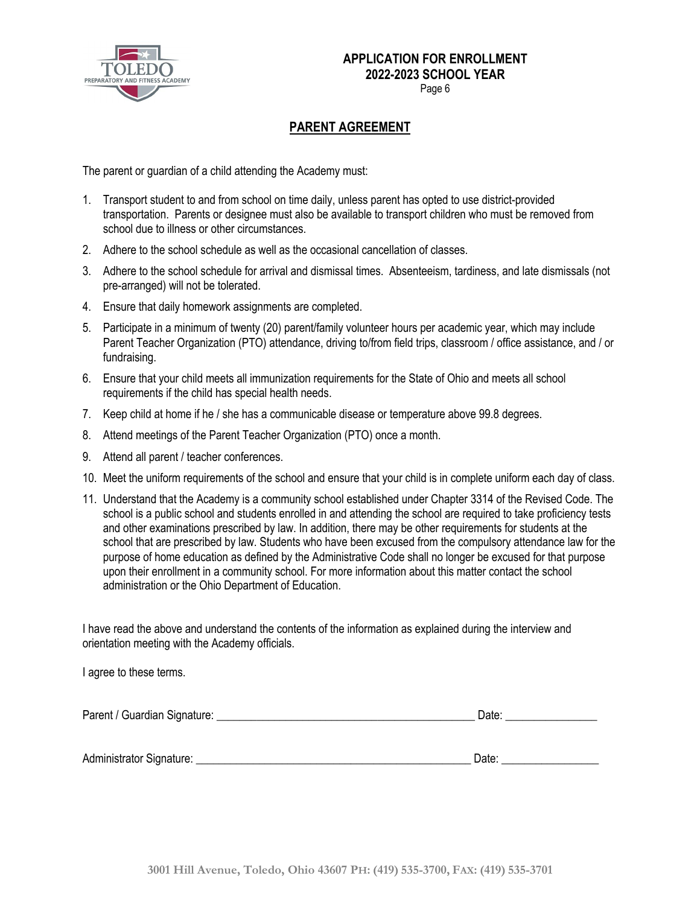

Page 6

## **PARENT AGREEMENT**

The parent or guardian of a child attending the Academy must:

- 1. Transport student to and from school on time daily, unless parent has opted to use district-provided transportation. Parents or designee must also be available to transport children who must be removed from school due to illness or other circumstances.
- 2. Adhere to the school schedule as well as the occasional cancellation of classes.
- 3. Adhere to the school schedule for arrival and dismissal times. Absenteeism, tardiness, and late dismissals (not pre-arranged) will not be tolerated.
- 4. Ensure that daily homework assignments are completed.
- 5. Participate in a minimum of twenty (20) parent/family volunteer hours per academic year, which may include Parent Teacher Organization (PTO) attendance, driving to/from field trips, classroom / office assistance, and / or fundraising.
- 6. Ensure that your child meets all immunization requirements for the State of Ohio and meets all school requirements if the child has special health needs.
- 7. Keep child at home if he / she has a communicable disease or temperature above 99.8 degrees.
- 8. Attend meetings of the Parent Teacher Organization (PTO) once a month.
- 9. Attend all parent / teacher conferences.
- 10. Meet the uniform requirements of the school and ensure that your child is in complete uniform each day of class.
- 11. Understand that the Academy is a community school established under Chapter 3314 of the Revised Code. The school is a public school and students enrolled in and attending the school are required to take proficiency tests and other examinations prescribed by law. In addition, there may be other requirements for students at the school that are prescribed by law. Students who have been excused from the compulsory attendance law for the purpose of home education as defined by the Administrative Code shall no longer be excused for that purpose upon their enrollment in a community school. For more information about this matter contact the school administration or the Ohio Department of Education.

I have read the above and understand the contents of the information as explained during the interview and orientation meeting with the Academy officials.

I agree to these terms.

| Parent / Guardian Signature: | Jate |
|------------------------------|------|
|                              |      |

Administrator Signature: \_\_\_\_\_\_\_\_\_\_\_\_\_\_\_\_\_\_\_\_\_\_\_\_\_\_\_\_\_\_\_\_\_\_\_\_\_\_\_\_\_\_\_\_\_\_\_\_ Date: \_\_\_\_\_\_\_\_\_\_\_\_\_\_\_\_\_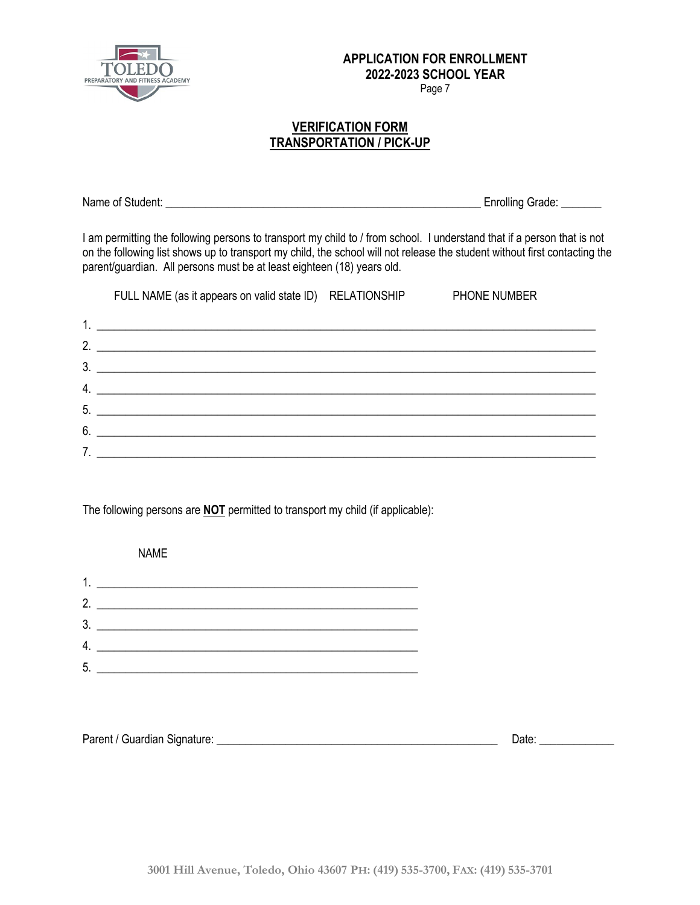

Page 7

### **VERIFICATION FORM TRANSPORTATION / PICK-UP**

Name of Student: **Name of Student:**  $\blacksquare$ 

I am permitting the following persons to transport my child to / from school. I understand that if a person that is not on the following list shows up to transport my child, the school will not release the student without first contacting the parent/guardian. All persons must be at least eighteen (18) years old.

|                  | FULL NAME (as it appears on valid state ID) RELATIONSHIP                                                              | <b>PHONE NUMBER</b> |
|------------------|-----------------------------------------------------------------------------------------------------------------------|---------------------|
|                  |                                                                                                                       |                     |
| $\mathcal{P}$    |                                                                                                                       |                     |
| 3 <sub>1</sub>   | <u> 1980 - Andrea Barbara, amerikan personal dan personal dan personal dan personal dan personal dan personal dan</u> |                     |
| $\overline{4}$ . | <u> Alexandria de la contrada de la contrada de la contrada de la contrada de la contrada de la contrada de la c</u>  |                     |
|                  | 5.                                                                                                                    |                     |
| 6                |                                                                                                                       |                     |
|                  |                                                                                                                       |                     |

The following persons are **NOT** permitted to transport my child (if applicable):

 NAME 1. \_\_\_\_\_\_\_\_\_\_\_\_\_\_\_\_\_\_\_\_\_\_\_\_\_\_\_\_\_\_\_\_\_\_\_\_\_\_\_\_\_\_\_\_\_\_\_\_\_\_\_\_\_\_\_\_ 2. \_\_\_\_\_\_\_\_\_\_\_\_\_\_\_\_\_\_\_\_\_\_\_\_\_\_\_\_\_\_\_\_\_\_\_\_\_\_\_\_\_\_\_\_\_\_\_\_\_\_\_\_\_\_\_\_ 3. \_\_\_\_\_\_\_\_\_\_\_\_\_\_\_\_\_\_\_\_\_\_\_\_\_\_\_\_\_\_\_\_\_\_\_\_\_\_\_\_\_\_\_\_\_\_\_\_\_\_\_\_\_\_\_\_ 4. \_\_\_\_\_\_\_\_\_\_\_\_\_\_\_\_\_\_\_\_\_\_\_\_\_\_\_\_\_\_\_\_\_\_\_\_\_\_\_\_\_\_\_\_\_\_\_\_\_\_\_\_\_\_\_\_ 5. \_\_\_\_\_\_\_\_\_\_\_\_\_\_\_\_\_\_\_\_\_\_\_\_\_\_\_\_\_\_\_\_\_\_\_\_\_\_\_\_\_\_\_\_\_\_\_\_\_\_\_\_\_\_\_\_

| Parent / Guardian Signature: | Date |
|------------------------------|------|
|                              |      |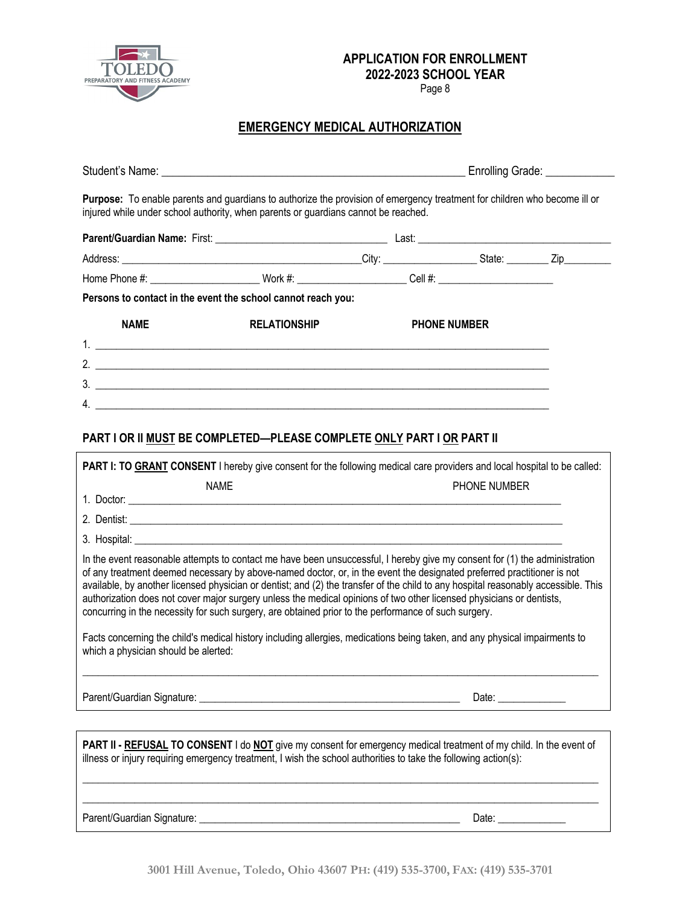

Page 8

## **EMERGENCY MEDICAL AUTHORIZATION**

|                                      | Purpose: To enable parents and guardians to authorize the provision of emergency treatment for children who become ill or<br>injured while under school authority, when parents or guardians cannot be reached.                                                                                                                                                                                                                                                                              |                     |                      |  |
|--------------------------------------|----------------------------------------------------------------------------------------------------------------------------------------------------------------------------------------------------------------------------------------------------------------------------------------------------------------------------------------------------------------------------------------------------------------------------------------------------------------------------------------------|---------------------|----------------------|--|
|                                      |                                                                                                                                                                                                                                                                                                                                                                                                                                                                                              |                     |                      |  |
|                                      |                                                                                                                                                                                                                                                                                                                                                                                                                                                                                              |                     |                      |  |
|                                      | Home Phone #: __________________________Work #: ________________________Cell #: ______________________________                                                                                                                                                                                                                                                                                                                                                                               |                     |                      |  |
|                                      | Persons to contact in the event the school cannot reach you:                                                                                                                                                                                                                                                                                                                                                                                                                                 |                     |                      |  |
| <b>NAME</b>                          | <b>RELATIONSHIP</b>                                                                                                                                                                                                                                                                                                                                                                                                                                                                          | <b>PHONE NUMBER</b> |                      |  |
|                                      |                                                                                                                                                                                                                                                                                                                                                                                                                                                                                              |                     |                      |  |
|                                      | 2. $\frac{1}{2}$ $\frac{1}{2}$ $\frac{1}{2}$ $\frac{1}{2}$ $\frac{1}{2}$ $\frac{1}{2}$ $\frac{1}{2}$ $\frac{1}{2}$ $\frac{1}{2}$ $\frac{1}{2}$ $\frac{1}{2}$ $\frac{1}{2}$ $\frac{1}{2}$ $\frac{1}{2}$ $\frac{1}{2}$ $\frac{1}{2}$ $\frac{1}{2}$ $\frac{1}{2}$ $\frac{1}{2}$ $\frac{1}{2}$ $\frac{1}{2}$ $\frac{1}{2}$                                                                                                                                                                       |                     |                      |  |
|                                      | 3.                                                                                                                                                                                                                                                                                                                                                                                                                                                                                           |                     |                      |  |
|                                      | 4. $\overline{\phantom{a}}$                                                                                                                                                                                                                                                                                                                                                                                                                                                                  |                     |                      |  |
|                                      |                                                                                                                                                                                                                                                                                                                                                                                                                                                                                              |                     |                      |  |
|                                      | PART I OR II MUST BE COMPLETED—PLEASE COMPLETE ONLY PART I OR PART II                                                                                                                                                                                                                                                                                                                                                                                                                        |                     |                      |  |
|                                      | PART I: TO GRANT CONSENT I hereby give consent for the following medical care providers and local hospital to be called:                                                                                                                                                                                                                                                                                                                                                                     |                     |                      |  |
|                                      | <b>NAME</b>                                                                                                                                                                                                                                                                                                                                                                                                                                                                                  |                     | PHONE NUMBER         |  |
|                                      | 1. Doctor: <u>Alexander Alexander Alexander Alexander Alexander Alexander Alexander Alexander Alexander Alexander</u>                                                                                                                                                                                                                                                                                                                                                                        |                     |                      |  |
|                                      |                                                                                                                                                                                                                                                                                                                                                                                                                                                                                              |                     |                      |  |
|                                      | In the event reasonable attempts to contact me have been unsuccessful, I hereby give my consent for (1) the administration                                                                                                                                                                                                                                                                                                                                                                   |                     |                      |  |
|                                      | of any treatment deemed necessary by above-named doctor, or, in the event the designated preferred practitioner is not<br>available, by another licensed physician or dentist; and (2) the transfer of the child to any hospital reasonably accessible. This<br>authorization does not cover major surgery unless the medical opinions of two other licensed physicians or dentists,<br>concurring in the necessity for such surgery, are obtained prior to the performance of such surgery. |                     |                      |  |
| which a physician should be alerted: | Facts concerning the child's medical history including allergies, medications being taken, and any physical impairments to                                                                                                                                                                                                                                                                                                                                                                   |                     |                      |  |
|                                      |                                                                                                                                                                                                                                                                                                                                                                                                                                                                                              |                     | Date: ______________ |  |
|                                      | PART II - REFUSAL TO CONSENT I do NOT give my consent for emergency medical treatment of my child. In the event of<br>illness or injury requiring emergency treatment, I wish the school authorities to take the following action(s):                                                                                                                                                                                                                                                        |                     |                      |  |

Parent/Guardian Signature: \_\_\_\_\_\_\_\_\_\_\_\_\_\_\_\_\_\_\_\_\_\_\_\_\_\_\_\_\_\_\_\_\_\_\_\_\_\_\_\_\_\_\_\_\_\_\_\_\_\_ Date: \_\_\_\_\_\_\_\_\_\_\_\_\_

**3001 Hill Avenue, Toledo, Ohio 43607 PH: (419) 535-3700, FAX: (419) 535-3701**

 $\_$  ,  $\_$  ,  $\_$  ,  $\_$  ,  $\_$  ,  $\_$  ,  $\_$  ,  $\_$  ,  $\_$  ,  $\_$  ,  $\_$  ,  $\_$  ,  $\_$  ,  $\_$  ,  $\_$  ,  $\_$  ,  $\_$  ,  $\_$  ,  $\_$  ,  $\_$  ,  $\_$  ,  $\_$  ,  $\_$  ,  $\_$  ,  $\_$  ,  $\_$  ,  $\_$  ,  $\_$  ,  $\_$  ,  $\_$  ,  $\_$  ,  $\_$  ,  $\_$  ,  $\_$  ,  $\_$  ,  $\_$  ,  $\_$  ,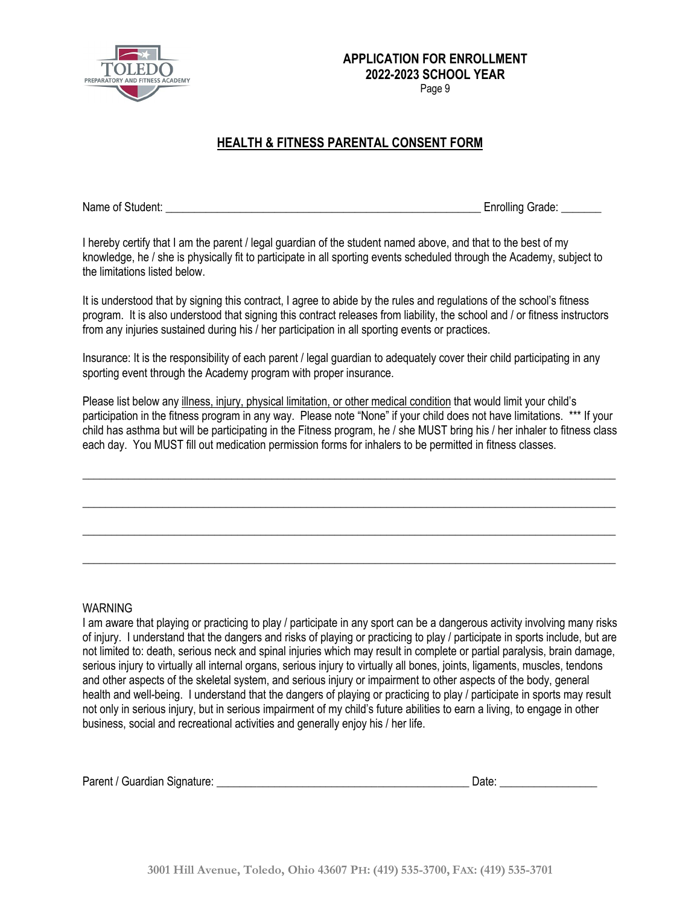

Page 9

## **HEALTH & FITNESS PARENTAL CONSENT FORM**

Name of Student: **Name of Student:**  $\blacksquare$ 

I hereby certify that I am the parent / legal guardian of the student named above, and that to the best of my knowledge, he / she is physically fit to participate in all sporting events scheduled through the Academy, subject to the limitations listed below.

It is understood that by signing this contract, I agree to abide by the rules and regulations of the school's fitness program. It is also understood that signing this contract releases from liability, the school and / or fitness instructors from any injuries sustained during his / her participation in all sporting events or practices.

Insurance: It is the responsibility of each parent / legal guardian to adequately cover their child participating in any sporting event through the Academy program with proper insurance.

Please list below any illness, injury, physical limitation, or other medical condition that would limit your child's participation in the fitness program in any way. Please note "None" if your child does not have limitations. \*\*\* If your child has asthma but will be participating in the Fitness program, he / she MUST bring his / her inhaler to fitness class each day. You MUST fill out medication permission forms for inhalers to be permitted in fitness classes.

 $\_$  ,  $\_$  ,  $\_$  ,  $\_$  ,  $\_$  ,  $\_$  ,  $\_$  ,  $\_$  ,  $\_$  ,  $\_$  ,  $\_$  ,  $\_$  ,  $\_$  ,  $\_$  ,  $\_$  ,  $\_$  ,  $\_$  ,  $\_$  ,  $\_$  ,  $\_$  ,  $\_$  ,  $\_$  ,  $\_$  ,  $\_$  ,  $\_$  ,  $\_$  ,  $\_$  ,  $\_$  ,  $\_$  ,  $\_$  ,  $\_$  ,  $\_$  ,  $\_$  ,  $\_$  ,  $\_$  ,  $\_$  ,  $\_$  ,

\_\_\_\_\_\_\_\_\_\_\_\_\_\_\_\_\_\_\_\_\_\_\_\_\_\_\_\_\_\_\_\_\_\_\_\_\_\_\_\_\_\_\_\_\_\_\_\_\_\_\_\_\_\_\_\_\_\_\_\_\_\_\_\_\_\_\_\_\_\_\_\_\_\_\_\_\_\_\_\_\_\_\_\_\_\_\_\_\_\_\_\_\_

\_\_\_\_\_\_\_\_\_\_\_\_\_\_\_\_\_\_\_\_\_\_\_\_\_\_\_\_\_\_\_\_\_\_\_\_\_\_\_\_\_\_\_\_\_\_\_\_\_\_\_\_\_\_\_\_\_\_\_\_\_\_\_\_\_\_\_\_\_\_\_\_\_\_\_\_\_\_\_\_\_\_\_\_\_\_\_\_\_\_\_\_\_

\_\_\_\_\_\_\_\_\_\_\_\_\_\_\_\_\_\_\_\_\_\_\_\_\_\_\_\_\_\_\_\_\_\_\_\_\_\_\_\_\_\_\_\_\_\_\_\_\_\_\_\_\_\_\_\_\_\_\_\_\_\_\_\_\_\_\_\_\_\_\_\_\_\_\_\_\_\_\_\_\_\_\_\_\_\_\_\_\_\_\_\_\_

#### WARNING

I am aware that playing or practicing to play / participate in any sport can be a dangerous activity involving many risks of injury. I understand that the dangers and risks of playing or practicing to play / participate in sports include, but are not limited to: death, serious neck and spinal injuries which may result in complete or partial paralysis, brain damage, serious injury to virtually all internal organs, serious injury to virtually all bones, joints, ligaments, muscles, tendons and other aspects of the skeletal system, and serious injury or impairment to other aspects of the body, general health and well-being. I understand that the dangers of playing or practicing to play / participate in sports may result not only in serious injury, but in serious impairment of my child's future abilities to earn a living, to engage in other business, social and recreational activities and generally enjoy his / her life.

|  | Parent / Guardian Signature: |  | Date |  |
|--|------------------------------|--|------|--|
|--|------------------------------|--|------|--|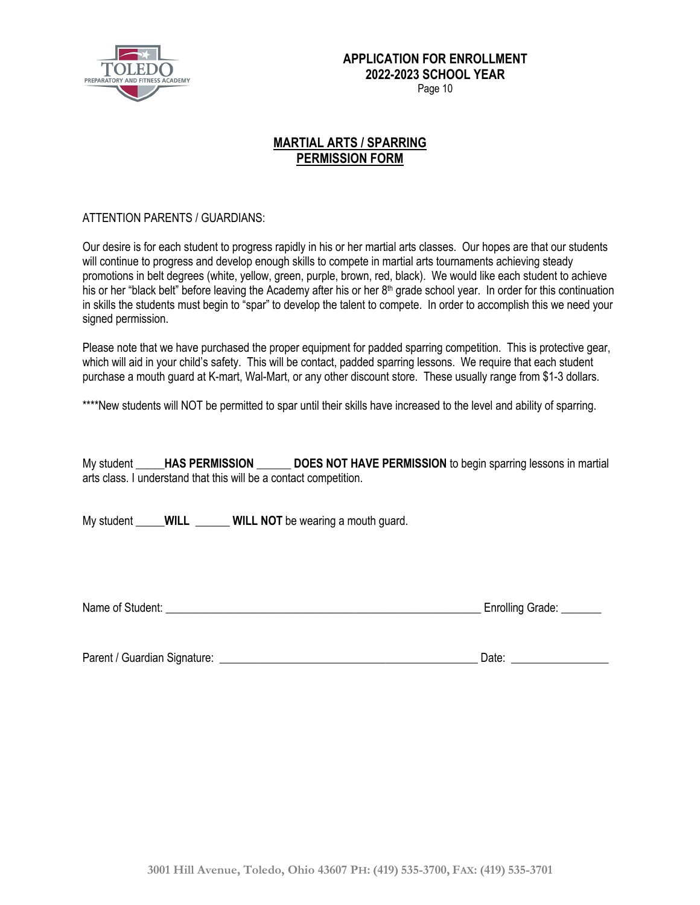

## **MARTIAL ARTS / SPARRING PERMISSION FORM**

### ATTENTION PARENTS / GUARDIANS:

Our desire is for each student to progress rapidly in his or her martial arts classes. Our hopes are that our students will continue to progress and develop enough skills to compete in martial arts tournaments achieving steady promotions in belt degrees (white, yellow, green, purple, brown, red, black). We would like each student to achieve his or her "black belt" before leaving the Academy after his or her  $8<sup>th</sup>$  grade school year. In order for this continuation in skills the students must begin to "spar" to develop the talent to compete. In order to accomplish this we need your signed permission.

Please note that we have purchased the proper equipment for padded sparring competition. This is protective gear, which will aid in your child's safety. This will be contact, padded sparring lessons. We require that each student purchase a mouth guard at K-mart, Wal-Mart, or any other discount store. These usually range from \$1-3 dollars.

\*\*\*\*New students will NOT be permitted to spar until their skills have increased to the level and ability of sparring.

My student **\_\_\_\_\_HAS PERMISSION \_\_\_\_\_\_ DOES NOT HAVE PERMISSION** to begin sparring lessons in martial arts class. I understand that this will be a contact competition.

My student **WILL WILL NOT** be wearing a mouth guard.

Name of Student: \_\_\_\_\_\_\_\_\_\_\_\_\_\_\_\_\_\_\_\_\_\_\_\_\_\_\_\_\_\_\_\_\_\_\_\_\_\_\_\_\_\_\_\_\_\_\_\_\_\_\_\_\_\_\_ Enrolling Grade: \_\_\_\_\_\_\_

Parent / Guardian Signature: \_\_\_\_\_\_\_\_\_\_\_\_\_\_\_\_\_\_\_\_\_\_\_\_\_\_\_\_\_\_\_\_\_\_\_\_\_\_\_\_\_\_\_\_\_ Date: \_\_\_\_\_\_\_\_\_\_\_\_\_\_\_\_\_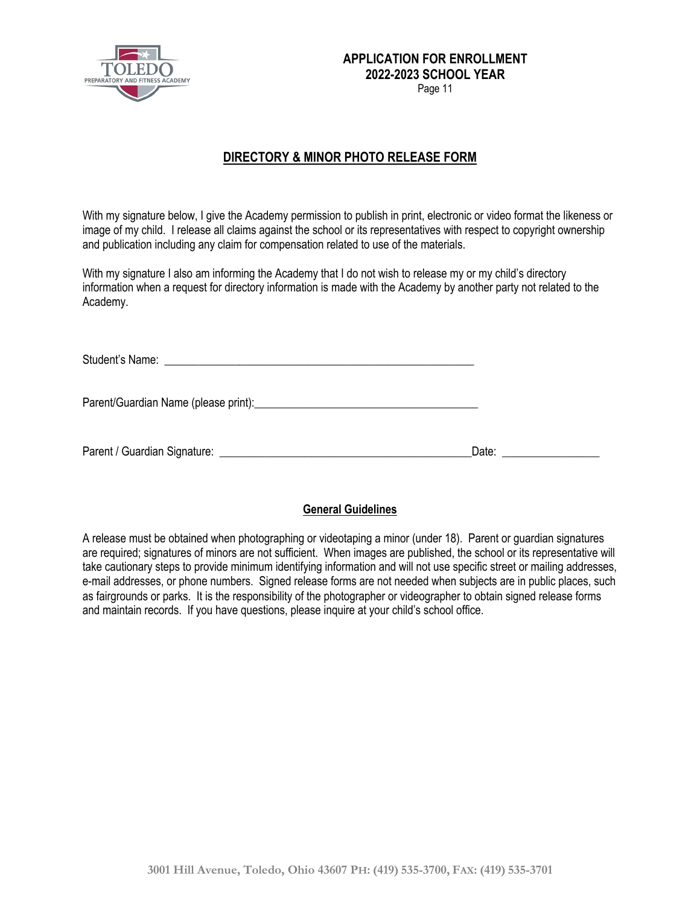

Page 11

## **DIRECTORY & MINOR PHOTO RELEASE FORM**

With my signature below, I give the Academy permission to publish in print, electronic or video format the likeness or image of my child. I release all claims against the school or its representatives with respect to copyright ownership and publication including any claim for compensation related to use of the materials.

With my signature I also am informing the Academy that I do not wish to release my or my child's directory information when a request for directory information is made with the Academy by another party not related to the Academy.

| Date: the contract of the contract of the contract of the contract of the contract of the contract of the contract of the contract of the contract of the contract of the contract of the contract of the contract of the cont |
|--------------------------------------------------------------------------------------------------------------------------------------------------------------------------------------------------------------------------------|

### **General Guidelines**

A release must be obtained when photographing or videotaping a minor (under 18). Parent or guardian signatures are required; signatures of minors are not sufficient. When images are published, the school or its representative will take cautionary steps to provide minimum identifying information and will not use specific street or mailing addresses, e-mail addresses, or phone numbers. Signed release forms are not needed when subjects are in public places, such as fairgrounds or parks. It is the responsibility of the photographer or videographer to obtain signed release forms and maintain records. If you have questions, please inquire at your child's school office.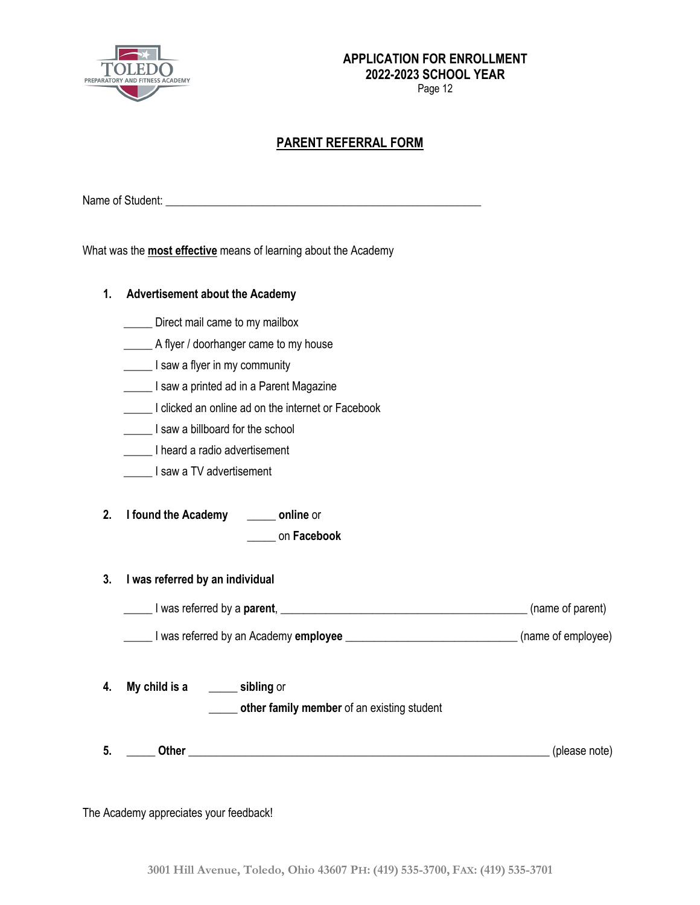

Page 12

## **PARENT REFERRAL FORM**

Name of Student: \_\_\_\_\_\_\_\_\_\_\_\_\_\_\_\_\_\_\_\_\_\_\_\_\_\_\_\_\_\_\_\_\_\_\_\_\_\_\_\_\_\_\_\_\_\_\_\_\_\_\_\_\_\_\_

What was the **most effective** means of learning about the Academy

| 1.       | <b>Advertisement about the Academy</b>                                                                                                                                         |               |  |  |  |
|----------|--------------------------------------------------------------------------------------------------------------------------------------------------------------------------------|---------------|--|--|--|
|          | Direct mail came to my mailbox                                                                                                                                                 |               |  |  |  |
|          | A flyer / doorhanger came to my house                                                                                                                                          |               |  |  |  |
|          | I saw a flyer in my community                                                                                                                                                  |               |  |  |  |
|          | I saw a printed ad in a Parent Magazine                                                                                                                                        |               |  |  |  |
|          | I clicked an online ad on the internet or Facebook                                                                                                                             |               |  |  |  |
|          | I saw a billboard for the school                                                                                                                                               |               |  |  |  |
|          | I heard a radio advertisement                                                                                                                                                  |               |  |  |  |
|          | I saw a TV advertisement                                                                                                                                                       |               |  |  |  |
| 2.<br>3. | I found the Academy _______ online or<br>on Facebook<br>I was referred by an individual<br>I was referred by a parent, <u>I example and the set of parent</u> (name of parent) |               |  |  |  |
|          | I was referred by an Academy employee _________________________________(name of employee)                                                                                      |               |  |  |  |
| 4.       | My child is a sibling or<br>other family member of an existing student                                                                                                         |               |  |  |  |
| 5.       |                                                                                                                                                                                | (please note) |  |  |  |

The Academy appreciates your feedback!